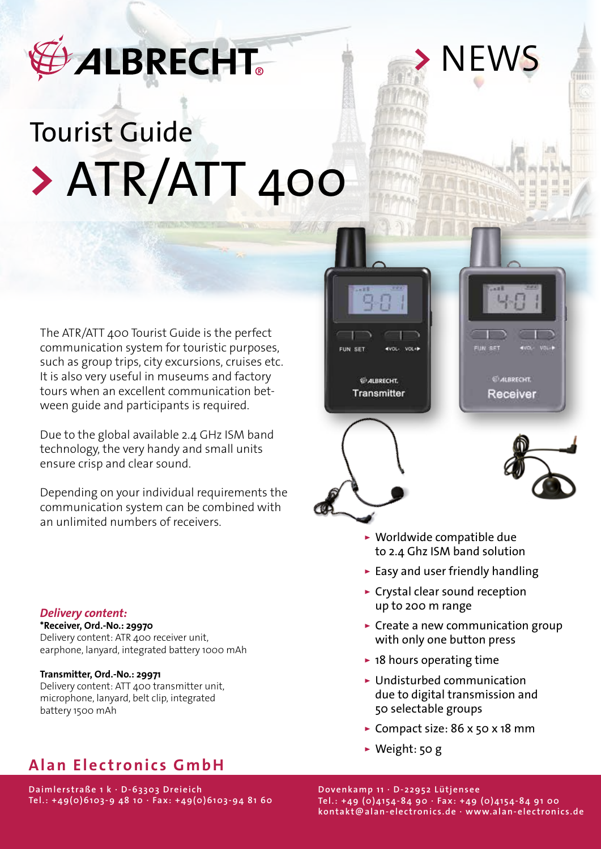# **ALBRECHT**

# Tourist Guide **>** ATR/ATT 400

The ATR/ATT 400 Tourist Guide is the perfect communication system for touristic purposes, such as group trips, city excursions, cruises etc. It is also very useful in museums and factory tours when an excellent communication between guide and participants is required.

Due to the global available 2.4 GHz ISM band technology, the very handy and small units ensure crisp and clear sound.

Depending on your individual requirements the communication system can be combined with an unlimited numbers of receivers.

### *Delivery content:*

**\*Receiver, Ord.-No.: 29970** Delivery content: ATR 400 receiver unit, earphone, lanyard, integrated battery 1000 mAh

### **Transmitter, Ord.-No.: 29971**

Delivery content: ATT 400 transmitter unit, microphone, lanyard, belt clip, integrated battery 1500 mAh

## **Alan Electronics GmbH**

**Daimlerstraße 1 k · D-63303 Dreieich Tel.: +49(0)6103-9 48 10 · Fax: +49(0)6103-94 81 60**





 $III$ 

**>** NEWS



▹ Worldwide compatible due to 2.4 Ghz ISM band solution

- ▹ Easy and user friendly handling
- ▹ Crystal clear sound reception up to 200 m range
- ▹ Create a new communication group with only one button press
- ▹ 18 hours operating time
- ▹ Undisturbed communication due to digital transmission and 50 selectable groups
- ▹ Compact size: 86 x 50 x 18 mm
- ▹ Weight: 50 g

**Dovenkamp 11 · D-22952 Lütjensee Tel.: +49 (0)4154-84 90 · Fax: +49 (0)4154-84 91 00 kontakt@alan-electronics.de · www.alan-electronics.de**